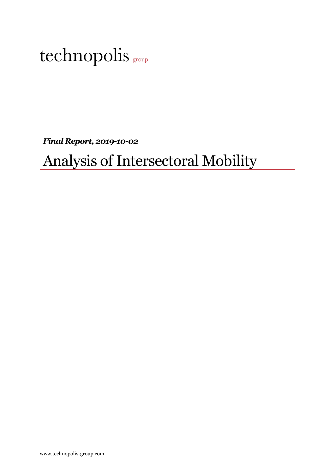*Final Report, 2019-10-02*

## Analysis of Intersectoral Mobility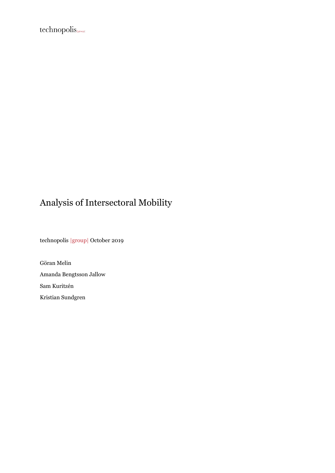$technopolis_{\text{\tiny{[group]}}}$ 

## Analysis of Intersectoral Mobility

technopolis |group| October 2019

Göran Melin Amanda Bengtsson Jallow Sam Kuritzén Kristian Sundgren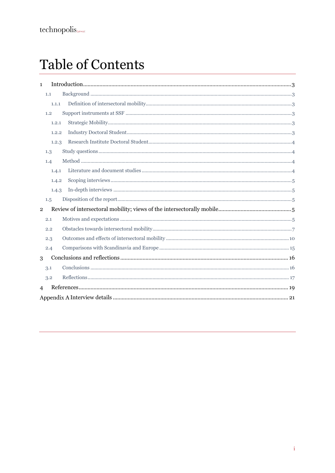# **Table of Contents**

| $\mathbf{1}$   |       |  |
|----------------|-------|--|
| 1.1            |       |  |
|                | 1.1.1 |  |
| 1.2            |       |  |
|                | 1.2.1 |  |
|                | 1.2.2 |  |
|                | 1.2.3 |  |
| 1.3            |       |  |
| 1.4            |       |  |
|                | 1.4.1 |  |
|                | 1.4.2 |  |
|                | 1.4.3 |  |
| 1.5            |       |  |
| $\overline{2}$ |       |  |
| 2.1            |       |  |
| 2.2            |       |  |
| 2.3            |       |  |
| 2.4            |       |  |
| 3              |       |  |
| 3.1            |       |  |
| 3.2            |       |  |
| $\overline{4}$ |       |  |
|                |       |  |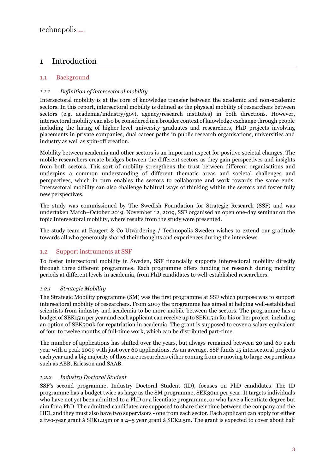## 1 Introduction

## 1.1 Background

## *1.1.1 Definition of intersectoral mobility*

Intersectoral mobility is at the core of knowledge transfer between the academic and non-academic sectors. In this report, intersectoral mobility is defined as the physical mobility of researchers between sectors (e.g. academia/industry/govt. agency/research institutes) in both directions. However, intersectoral mobility can also be considered in a broader context of knowledge exchange through people including the hiring of higher-level university graduates and researchers, PhD projects involving placements in private companies, dual career paths in public research organisations, universities and industry as well as spin-off creation.

Mobility between academia and other sectors is an important aspect for positive societal changes. The mobile researchers create bridges between the different sectors as they gain perspectives and insights from both sectors. This sort of mobility strengthens the trust between different organisations and underpins a common understanding of different thematic areas and societal challenges and perspectives, which in turn enables the sectors to collaborate and work towards the same ends. Intersectoral mobility can also challenge habitual ways of thinking within the sectors and foster fully new perspectives.

The study was commissioned by The Swedish Foundation for Strategic Research (SSF) and was undertaken March–October 2019. November 12, 2019, SSF organised an open one-day seminar on the topic Intersectoral mobility, where results from the study were presented.

The study team at Faugert & Co Utvärdering / Technopolis Sweden wishes to extend our gratitude towards all who generously shared their thoughts and experiences during the interviews.

## 1.2 Support instruments at SSF

To foster intersectoral mobility in Sweden, SSF financially supports intersectoral mobility directly through three different programmes. Each programme offers funding for research during mobility periods at different levels in academia, from PhD candidates to well-established researchers.

## *1.2.1 Strategic Mobility*

The Strategic Mobility programme (SM) was the first programme at SSF which purpose was to support intersectoral mobility of researchers. From 2007 the programme has aimed at helping well-established scientists from industry and academia to be more mobile between the sectors. The programme has a budget of SEK15m per year and each applicant can receive up to SEK1.5m for his or her project, including an option of SEK500k for repatriation in academia. The grant is supposed to cover a salary equivalent of four to twelve months of full-time work, which can be distributed part-time.

The number of applications has shifted over the years, but always remained between 20 and 60 each year with a peak 2009 with just over 60 applications. As an average, SSF funds 15 intersectoral projects each year and a big majority of those are researchers either coming from or moving to large corporations such as ABB, Ericsson and SAAB.

#### *1.2.2 Industry Doctoral Student*

SSF's second programme, Industry Doctoral Student (ID), focuses on PhD candidates. The ID programme has a budget twice as large as the SM programme, SEK30m per year. It targets individuals who have not yet been admitted to a PhD or a licentiate programme, or who have a licentiate degree but aim for a PhD. The admitted candidates are supposed to share their time between the company and the HEI, and they must also have two supervisors - one from each sector. Each applicant can apply for either a two-year grant á SEK1.25m or a 4–5 year grant á SEK2.5m. The grant is expected to cover about half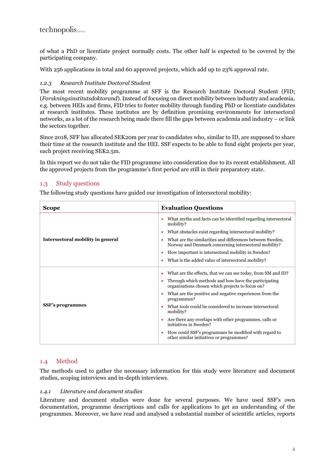of what a PhD or licentiate project normally costs. The other half is expected to be covered by the participating company.

With 256 applications in total and 60 approved projects, which add up to 23% approval rate.

#### *1.2.3 Research Institute Doctoral Student*

The most recent mobility programme at SFF is the Research Institute Doctoral Student (FID; (*Forskningsinstitutsdoktorand*). Instead of focusing on direct mobility between industry and academia, e.g. between HEIs and firms, FID tries to foster mobility through funding PhD or licentiate candidates at research institutes. These institutes are by definition promising environments for intersectoral networks, as a lot of the research being made there fill the gaps between academia and industry – or link the sectors together.

Since 2018, SFF has allocated SEK20m per year to candidates who, similar to ID, are supposed to share their time at the research institute and the HEI. SSF expects to be able to fund eight projects per year, each project receiving SEK2.5m.

In this report we do not take the FID programme into consideration due to its recent establishment. All the approved projects from the programme's first period are still in their preparatory state.

## 1.3 Study questions

The following study questions have guided our investigation of intersectoral mobility:

| <b>Scope</b>                      | <b>Evaluation Questions</b>                                                                                        |
|-----------------------------------|--------------------------------------------------------------------------------------------------------------------|
|                                   | What myths and facts can be identified regarding intersectoral<br>mobility?                                        |
|                                   | What obstacles exist regarding intersectoral mobility?<br>٠                                                        |
| Intersectoral mobility in general | What are the similarities and differences between Sweden,<br>Norway and Denmark concerning intersectoral mobility? |
|                                   | How important is intersectoral mobility in Sweden?                                                                 |
|                                   | What is the added value of intersectoral mobility?                                                                 |
|                                   | What are the effects, that we can see today, from SM and ID?                                                       |
|                                   | Through which methods and how have the participating<br>organisations chosen which projects to focus on?           |
|                                   | What are the positive and negative experiences from the<br>programmes?                                             |
| <b>SSF's programmes</b>           | What tools could be considered to increase intersectoral<br>mobility?                                              |
|                                   | Are there any overlaps with other programmes, calls or<br>initiatives in Sweden?                                   |
|                                   | How could SSF's programmes be modified with regard to<br>other similar initiatives or programmes?                  |

## 1.4 Method

The methods used to gather the necessary information for this study were literature and document studies, scoping interviews and in-depth interviews.

#### *1.4.1 Literature and document studies*

Literature and document studies were done for several purposes. We have used SSF's own documentation, programme descriptions and calls for applications to get an understanding of the programmes. Moreover, we have read and analysed a substantial number of scientific articles, reports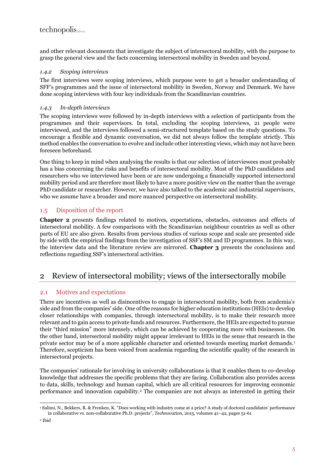and other relevant documents that investigate the subject of intersectoral mobility, with the purpose to grasp the general view and the facts concerning intersectoral mobility in Sweden and beyond.

## *1.4.2 Scoping interviews*

The first interviews were scoping interviews, which purpose were to get a broader understanding of SFF's programmes and the issue of intersectoral mobility in Sweden, Norway and Denmark. We have done scoping interviews with four key individuals from the Scandinavian countries.

## *1.4.3 In-depth interviews*

The scoping interviews were followed by in-depth interviews with a selection of participants from the programmes and their supervisors. In total, excluding the scoping interviews, 21 people were interviewed, and the interviews followed a semi-structured template based on the study questions. To encourage a flexible and dynamic conversation, we did not always follow the template strictly. This method enables the conversation to evolve and include other interesting views, which may not have been foreseen beforehand.

One thing to keep in mind when analysing the results is that our selection of interviewees most probably has a bias concerning the risks and benefits of intersectoral mobility. Most of the PhD candidates and researchers who we interviewed have been or are now undergoing a financially supported intersectoral mobility period and are therefore most likely to have a more positive view on the matter than the average PhD candidate or researcher. However, we have also talked to the academic and industrial supervisors, who we assume have a broader and more nuanced perspective on intersectoral mobility.

## 1.5 Disposition of the report

**Chapter [2](#page-6-0)** presents findings related to motives, expectations, obstacles, outcomes and effects of intersectoral mobility. A few comparisons with the Scandinavian neighbour countries as well as other parts of EU are also given. Results from pervious studies of various scope and scale are presented side by side with the empirical findings from the investigation of SSF's SM and ID programmes. In this way, the interview data and the literature review are mirrored. **Chapter [3](#page-17-0)** presents the conclusions and reflections regarding SSF's intersectoral activities.

## <span id="page-6-0"></span>2 Review of intersectoral mobility; views of the intersectorally mobile

## 2.1 Motives and expectations

There are incentives as well as disincentives to engage in intersectoral mobility, both from academia's side and from the companies' side. One of the reasons for higher education institutions (HEIs) to develop closer relationships with companies, through intersectoral mobility, is to make their research more relevant and to gain access to private funds and resources. Furthermore, the HEIs are expected to pursue their "third mission" more intensely, which can be achieved by cooperating more with businesses. On the other hand, intersectoral mobility might appear irrelevant to HEIs in the sense that research in the private sector may be of a more applicable character and oriented towards meeting market demands. 1 Therefore, scepticism has been voiced from academia regarding the scientific quality of the research in intersectoral projects.

The companies' rationale for involving in university collaborations is that it enables them to co-develop knowledge that addresses the specific problems that they are facing. Collaboration also provides access to data, skills, technology and human capital, which are all critical resources for improving economic performance and innovation capability. <sup>2</sup> The companies are not always as interested in getting their

<sup>1</sup> Salimi, N., Bekkers, R. & Frenken, K. "Does working with industry come at a price? A study of doctoral candidates' performance in collaborative vs. non-collaborative Ph.D. projects", *Technovation,* 2015, volumes 41–42, pages 51-61

<sup>2</sup> Ibid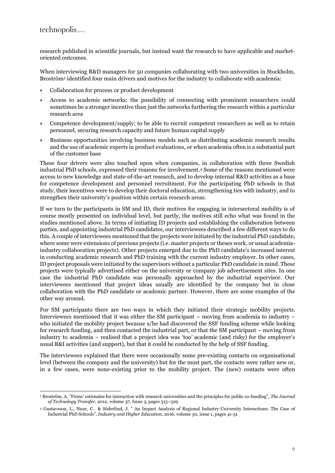## $technopolis_{\text{group}}$

research published in scientific journals, but instead want the research to have applicable and marketoriented outcomes.

When interviewing R&D managers for 50 companies collaborating with two universities in Stockholm, Broström<sup>3</sup> identified four main drivers and motives for the industry to collaborate with academia:

- Collaboration for process or product development
- Access to academic networks; the possibility of connecting with prominent researchers could sometimes be a stronger incentive than just the networks furthering the research within a particular research area
- Competence development/supply; to be able to recruit competent researchers as well as to retain personnel, securing research capacity and future human capital supply
- Business opportunities involving business models such as distributing academic research results and the use of academic experts in product evaluations, or when academia often is a substantial part of the customer base

These four drivers were also touched upon when companies, in collaboration with three Swedish industrial PhD schools, expressed their reasons for involvement. <sup>4</sup> Some of the reasons mentioned were access to new knowledge and state-of-the-art research, and to develop internal R&D activities as a base for competence development and personnel recruitment. For the participating PhD schools in that study, their incentives were to develop their doctoral education, strengthening ties with industry, and to strengthen their university's position within certain research areas.

If we turn to the participants in SM and ID, their motives for engaging in intersectoral mobility is of course mostly presented on individual level, but partly, the motives still echo what was found in the studies mentioned above. In terms of initiating ID projects and establishing the collaboration between parties, and appointing industrial PhD candidates, our interviewees described a few different ways to do this. A couple of interviewees mentioned that the projects were initiated by the industrial PhD candidate, where some were extensions of previous projects (i.e. master projects or theses work, or usual academiaindustry collaboration projects). Other projects emerged due to the PhD candidate's increased interest in conducting academic research and PhD training with the current industry employer. In other cases, ID project proposals were initiated by the supervisors without a particular PhD candidate in mind. These projects were typically advertised either on the university or company job advertisement sites. In one case the industrial PhD candidate was personally approached by the industrial supervisor. Our interviewees mentioned that project ideas usually are identified by the company but in close collaboration with the PhD candidate or academic partner. However, there are some examples of the other way around.

For SM participants there are two ways in which they initiated their strategic mobility projects. Interviewees mentioned that it was either the SM participant – moving from academia to industry – who initiated the mobility project because s/he had discovered the SSF funding scheme while looking for research funding, and then contacted the industrial part, or that the SM participant – moving from industry to academia – realised that a project idea was 'too' academic (and risky) for the employer's usual R&I activities (and support), but that it could be conducted by the help of SSF funding.

The interviewees explained that there were occasionally some pre-existing contacts on organisational level (between the company and the university) but for the most part, the contacts were rather new or, in a few cases, were none-existing prior to the mobility project. The (new) contacts were often

<sup>3</sup> Broström, A. "Firms' rationales for interaction with research universities and the principles for public co-funding", *The Journal of Technology Transfer,* 2012, volume 37, Issue 3, pages 313–329

<sup>4</sup> Gustavsson, L., Nuur, C. & Söderlind, J. " An Impact Analysis of Regional Industry-University Interactions: The Case of Industrial PhD Schools", *Industry and Higher Education,* 2016, volume 30, issue 1, pages 41-51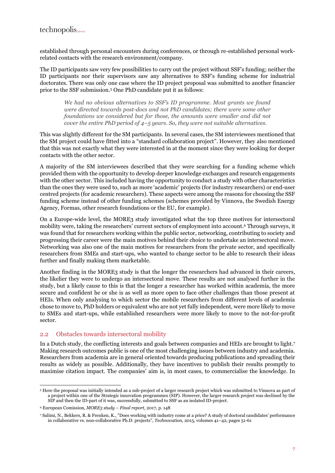## $technopolis_{\text{group}}$

established through personal encounters during conferences, or through re-established personal workrelated contacts with the research environment/company.

The ID participants saw very few possibilities to carry out the project without SSF's funding; neither the ID participants nor their supervisors saw any alternatives to SSF's funding scheme for industrial doctorates. There was only one case where the ID project proposal was submitted to another financier prior to the SSF submission. <sup>5</sup> One PhD candidate put it as follows:

*We had no obvious alternatives to SSF's ID programme. Most grants we found were directed towards post-docs and not PhD candidates; there were some other foundations we considered but for those, the amounts were smaller and did not cover the entire PhD period of 4–5 years. So, they were not suitable alternatives.* 

This was slightly different for the SM participants. In several cases, the SM interviewees mentioned that the SM project could have fitted into a "standard collaboration project". However, they also mentioned that this was not exactly what they were interested in at the moment since they were looking for deeper contacts with the other sector.

A majority of the SM interviewees described that they were searching for a funding scheme which provided them with the opportunity to develop deeper knowledge exchanges and research engagements with the other sector. This included having the opportunity to conduct a study with other characteristics than the ones they were used to, such as more 'academic' projects (for industry researchers) or end-user centred projects (for academic researchers). These aspects were among the reasons for choosing the SSF funding scheme instead of other funding schemes (schemes provided by Vinnova, the Swedish Energy Agency, Formas, other research foundations or the EU, for example).

On a Europe-wide level, the MORE3 study investigated what the top three motives for intersectoral mobility were, taking the researchers' current sectors of employment into account. <sup>6</sup> Through surveys, it was found that for researchers working within the public sector, networking, contributing to society and progressing their career were the main motives behind their choice to undertake an intersectoral move. Networking was also one of the main motives for researchers from the private sector, and specifically researchers from SMEs and start-ups, who wanted to change sector to be able to research their ideas further and finally making them marketable.

Another finding in the MORE3 study is that the longer the researchers had advanced in their careers, the likelier they were to undergo an intersectoral move. These results are not analysed further in the study, but a likely cause to this is that the longer a researcher has worked within academia, the more secure and confident he or she is as well as more open to face other challenges than those present at HEIs. When only analysing to which sector the mobile researchers from different levels of academia chose to move to, PhD holders or equivalent who are not yet fully independent, were more likely to move to SMEs and start-ups, while established researchers were more likely to move to the not-for-profit sector.

## 2.2 Obstacles towards intersectoral mobility

In a Dutch study, the conflicting interests and goals between companies and HEIs are brought to light.<sup>7</sup> Making research outcomes public is one of the most challenging issues between industry and academia. Researchers from academia are in general oriented towards producing publications and spreading their results as widely as possible. Additionally, they have incentives to publish their results promptly to maximise citation impact. The companies' aim is, in most cases, to commercialise the knowledge. In

<sup>5</sup> Here the proposal was initially intended as a sub-project of a larger research project which was submitted to Vinnova as part of a project within one of the Strategic innovation programmes (SIP). However, the larger research project was declined by the SIP and then the ID-part of it was, successfully, submitted to SSF as an isolated ID-project.

<sup>6</sup> European Comission, *MORE3 study – Final report,* 2017, p. 148

<sup>7</sup> Salimi, N., Bekkers, R. & Frenken, K., "Does working with industry come at a price? A study of doctoral candidates' performance in collaborative vs. non-collaborative Ph.D. projects", *Technovation,* 2015, volumes 41–42, pages 51-61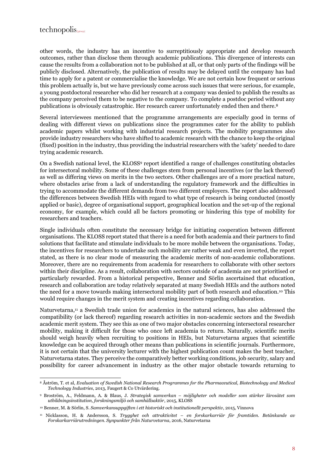other words, the industry has an incentive to surreptitiously appropriate and develop research outcomes, rather than disclose them through academic publications. This divergence of interests can cause the results from a collaboration not to be published at all, or that only parts of the findings will be publicly disclosed. Alternatively, the publication of results may be delayed until the company has had time to apply for a patent or commercialise the knowledge. We are not certain how frequent or serious this problem actually is, but we have previously come across such issues that were serious, for example, a young postdoctoral researcher who did her research at a company was denied to publish the results as the company perceived them to be negative to the company. To complete a postdoc period without any publications is obviously catastrophic. Her research career unfortunately ended then and there.<sup>8</sup>

Several interviewees mentioned that the programme arrangements are especially good in terms of dealing with different views on publications since the programmes cater for the ability to publish academic papers whilst working with industrial research projects. The mobility programmes also provide industry researchers who have shifted to academic research with the chance to keep the original (fixed) position in the industry, thus providing the industrial researchers with the 'safety' needed to dare trying academic research.

On a Swedish national level, the KLOSS<sup>9</sup> report identified a range of challenges constituting obstacles for intersectoral mobility. Some of these challenges stem from personal incentives (or the lack thereof) as well as differing views on merits in the two sectors. Other challenges are of a more practical nature, where obstacles arise from a lack of understanding the regulatory framework and the difficulties in trying to accommodate the different demands from two different employers. The report also addressed the differences between Swedish HEIs with regard to what type of research is being conducted (mostly applied or basic), degree of organisational support, geographical location and the set-up of the regional economy, for example, which could all be factors promoting or hindering this type of mobility for researchers and teachers.

Single individuals often constitute the necessary bridge for initiating cooperation between different organisations. The KLOSS report stated that there is a need for both academia and their partners to find solutions that facilitate and stimulate individuals to be more mobile between the organisations. Today, the incentives for researchers to undertake such mobility are rather weak and even inverted, the report stated, as there is no clear mode of measuring the academic merits of non-academic collaborations. Moreover, there are no requirements from academia for researchers to collaborate with other sectors within their discipline. As a result, collaboration with sectors outside of academia are not prioritised or particularly rewarded. From a historical perspective, Benner and Sörlin ascertained that education, research and collaboration are today relatively separated at many Swedish HEIs and the authors noted the need for a move towards making intersectoral mobility part of both research and education.<sup>10</sup> This would require changes in the merit system and creating incentives regarding collaboration.

Naturvetarna, <sup>11</sup> a Swedish trade union for academics in the natural sciences, has also addressed the compatibility (or lack thereof) regarding research activities in non-academic sectors and the Swedish academic merit system. They see this as one of two major obstacles concerning intersectoral researcher mobility, making it difficult for those who once left academia to return. Naturally, scientific merits should weigh heavily when recruiting to positions in HEIs, but Naturvetarna argues that scientific knowledge can be acquired through other means than publications in scientific journals. Furthermore, it is not certain that the university lecturer with the highest publication count makes the best teacher, Naturvetarna states. They perceive the comparatively better working conditions, job security, salary and possibility for career advancement in industry as the other major obstacle towards returning to

<sup>8</sup> Åström, T. et al, *Evaluation of Swedish National Research Programmes for the Pharmaceutical, Biotechnology and Medical Technology Industries*, 2013, Faugert & Co Utvärdering.

<sup>9</sup> Broström, A., Feldmann, A. & Blaus, J. *Strategisk samverkan – möjligheter och modeller som stärker lärosätet som utbildningsinstitution, forskningsmiljö och samhällsaktör*, 2015, KLOSS

<sup>10</sup> Benner, M. & Sörlin, S. *Samverkansuppgiften i ett historiskt och institutionellt perspektiv*, 2015, Vinnova

<sup>11</sup> Nicklasson, H. & Andersson, S. *Trygghet och attraktivitet – en forskarkarriär för framtiden. Betänkande av Forskarkarriärutredningen. Synpunkter från Naturvetarna*, 2016, Naturvetarna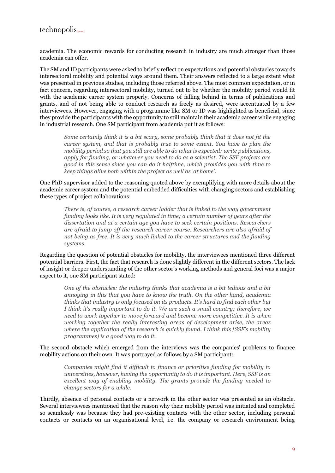academia. The economic rewards for conducting research in industry are much stronger than those academia can offer.

The SM and ID participants were asked to briefly reflect on expectations and potential obstacles towards intersectoral mobility and potential ways around them. Their answers reflected to a large extent what was presented in previous studies, including those referred above. The most common expectation, or in fact concern, regarding intersectoral mobility, turned out to be whether the mobility period would fit with the academic career system properly. Concerns of falling behind in terms of publications and grants, and of not being able to conduct research as freely as desired, were accentuated by a few interviewees. However, engaging with a programme like SM or ID was highlighted as beneficial, since they provide the participants with the opportunity to still maintain their academic career while engaging in industrial research. One SM participant from academia put it as follows:

*Some certainly think it is a bit scary, some probably think that it does not fit the career system, and that is probably true to some extent. You have to plan the mobility period so that you still are able to do what is expected: write publications, apply for funding, or whatever you need to do as a scientist. The SSF projects are good in this sense since you can do it halftime, which provides you with time to keep things alive both within the project as well as 'at home'.* 

One PhD supervisor added to the reasoning quoted above by exemplifying with more details about the academic career system and the potential embedded difficulties with changing sectors and establishing these types of project collaborations:

*There is, of course, a research career ladder that is linked to the way government funding looks like. It is very regulated in time; a certain number of years after the dissertation and at a certain age you have to seek certain positions. Researchers are afraid to jump off the research career course. Researchers are also afraid of not being as free. It is very much linked to the career structures and the funding systems.*

Regarding the question of potential obstacles for mobility, the interviewees mentioned three different potential barriers. First, the fact that research is done slightly different in the different sectors. The lack of insight or deeper understanding of the other sector's working methods and general foci was a major aspect to it, one SM participant stated:

*One of the obstacles: the industry thinks that academia is a bit tedious and a bit annoying in this that you have to know the truth. On the other hand, academia thinks that industry is only focused on its products. It's hard to find each other but I think it's really important to do it. We are such a small country; therefore, we need to work together to move forward and become more competitive. It is when working together the really interesting areas of development arise, the areas where the application of the research is quickly found. I think this [SSF's mobility programmes] is a good way to do it.*

The second obstacle which emerged from the interviews was the companies' problems to finance mobility actions on their own. It was portrayed as follows by a SM participant:

*Companies might find it difficult to finance or prioritise funding for mobility to universities, however, having the opportunity to do it is important. Here, SSF is an excellent way of enabling mobility. The grants provide the funding needed to change sectors for a while.*

Thirdly, absence of personal contacts or a network in the other sector was presented as an obstacle. Several interviewees mentioned that the reason why their mobility period was initiated and completed so seamlessly was because they had pre-existing contacts with the other sector, including personal contacts or contacts on an organisational level, i.e. the company or research environment being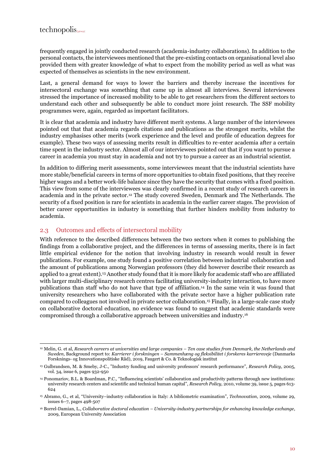frequently engaged in jointly conducted research (academia-industry collaborations). In addition to the personal contacts, the interviewees mentioned that the pre-existing contacts on organisational level also provided them with greater knowledge of what to expect from the mobility period as well as what was expected of themselves as scientists in the new environment.

Last, a general demand for ways to lower the barriers and thereby increase the incentives for intersectoral exchange was something that came up in almost all interviews. Several interviewees stressed the importance of increased mobility to be able to get researchers from the different sectors to understand each other and subsequently be able to conduct more joint research. The SSF mobility programmes were, again, regarded as important facilitators.

It is clear that academia and industry have different merit systems. A large number of the interviewees pointed out that that academia regards citations and publications as the strongest merits, whilst the industry emphasises other merits (work experience and the level and profile of education degrees for example). These two ways of assessing merits result in difficulties to re-enter academia after a certain time spent in the industry sector. Almost all of our interviewees pointed out that if you want to pursue a career in academia you must stay in academia and not try to pursue a career as an industrial scientist.

In addition to differing merit assessments, some interviewees meant that the industrial scientists have more stable/beneficial careers in terms of more opportunities to obtain fixed positions, that they receive higher wages and a better work-life balance since they have the security that comes with a fixed position. This view from some of the interviewees was clearly confirmed in a recent study of research careers in academia and in the private sector.<sup>12</sup> The study covered Sweden, Denmark and The Netherlands. The security of a fixed position is rare for scientists in academia in the earlier career stages. The provision of better career opportunities in industry is something that further hinders mobility from industry to academia.

## 2.3 Outcomes and effects of intersectoral mobility

With reference to the described differences between the two sectors when it comes to publishing the findings from a collaborative project, and the differences in terms of assessing merits, there is in fact little empirical evidence for the notion that involving industry in research would result in fewer publications. For example, one study found a positive correlation between industrial collaboration and the amount of publications among Norwegian professors (they did however describe their research as applied to a great extent). <sup>13</sup> Another study found that it is more likely for academic staff who are affiliated with larger multi-disciplinary research centres facilitating university-industry interaction, to have more publications than staff who do not have that type of affiliation.<sup>14</sup> In the same vein it was found that university researchers who have collaborated with the private sector have a higher publication rate compared to colleagues not involved in private sector collaboration.<sup>15</sup> Finally, in a large-scale case study on collaborative doctoral education, no evidence was found to suggest that academic standards were compromised through a collaborative approach between universities and industry. 16

<sup>&</sup>lt;sup>12</sup> Melin, G. et al, *Research careers at universities and large companies – Ten case studies from Denmark, the Netherlands and Sweden,* Background report to: *Karrierer i forskningen – Sammenhæng og fleksibilitet i forskeres karriereveje* (Danmarks Forsknings- og Innovationspolitiske Råd), 2019, Faugert & Co. & Teknologisk institut

<sup>13</sup> Gulbrandsen, M. & Smeby, J-C., "Industry funding and university professors' research performance", *Research Policy*, 2005, vol. 34, issue 6, pages 932-950

<sup>14</sup> Ponomariov, B.L. & Boardman, P.C., "Influencing scientists' collaboration and productivity patterns through new institutions: university research centers and scientific and technical human capital", *Research Policy,* 2010, volume 39, issue 5, pages 613- 624

<sup>15</sup> Abramo, G., et al, "University–industry collaboration in Italy: A bibliometric examination", *Technovation*, 2009, volume 29, issues 6–7, pages 498-507

<sup>16</sup> Borrel-Damian, L., *Collaborative doctoral education – University-industry partnerships for enhancing knowledge exchange*, 2009, European University Association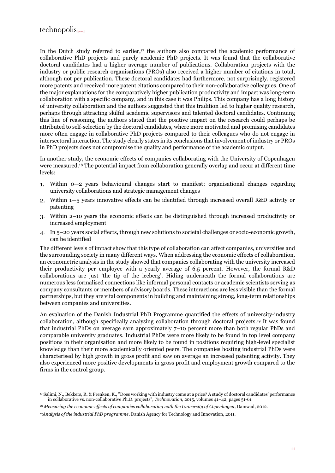## $technopolis_{\text{group}}$

In the Dutch study referred to earlier, <sup>17</sup> the authors also compared the academic performance of collaborative PhD projects and purely academic PhD projects. It was found that the collaborative doctoral candidates had a higher average number of publications. Collaboration projects with the industry or public research organisations (PROs) also received a higher number of citations in total, although not per publication. These doctoral candidates had furthermore, not surprisingly, registered more patents and received more patent citations compared to their non-collaborative colleagues. One of the major explanations for the comparatively higher publication productivity and impact was long-term collaboration with a specific company, and in this case it was Philips. This company has a long history of university collaboration and the authors suggested that this tradition led to higher quality research, perhaps through attracting skilful academic supervisors and talented doctoral candidates. Continuing this line of reasoning, the authors stated that the positive impact on the research could perhaps be attributed to self-selection by the doctoral candidates, where more motivated and promising candidates more often engage in collaborative PhD projects compared to their colleagues who do not engage in intersectoral interaction. The study clearly states in its conclusions that involvement of industry or PROs in PhD projects does not compromise the quality and performance of the academic output.

In another study, the economic effects of companies collaborating with the University of Copenhagen were measured. <sup>18</sup> The potential impact from collaboration generally overlap and occur at different time levels:

- Within 0—2 years behavioural changes start to manifest; organisational changes regarding university collaborations and strategic management changes
- Within 1—5 years innovative effects can be identified through increased overall R&D activity or patenting
- Within 2–10 years the economic effects can be distinguished through increased productivity or increased employment
- In 5–20 years social effects, through new solutions to societal challenges or socio-economic growth, can be identified

The different levels of impact show that this type of collaboration can affect companies, universities and the surrounding society in many different ways. When addressing the economic effects of collaboration, an econometric analysis in the study showed that companies collaborating with the university increased their productivity per employee with a yearly average of 6.5 percent. However, the formal R&D collaborations are just 'the tip of the iceberg'. Hiding underneath the formal collaborations are numerous less formalised connections like informal personal contacts or academic scientists serving as company consultants or members of advisory boards. These interactions are less visible than the formal partnerships, but they are vital components in building and maintaining strong, long-term relationships between companies and universities.

An evaluation of the Danish Industrial PhD Programme quantified the effects of university-industry collaboration, although specifically analysing collaboration through doctoral projects.<sup>19</sup> It was found that industrial PhDs on average earn approximately 7–10 percent more than both regular PhDs and comparable university graduates. Industrial PhDs were more likely to be found in top level company positions in their organisation and more likely to be found in positions requiring high-level specialist knowledge than their more academically oriented peers. The companies hosting industrial PhDs were characterised by high growth in gross profit and saw on average an increased patenting activity. They also experienced more positive developments in gross profit and employment growth compared to the firms in the control group.

<sup>17</sup> Salimi, N., Bekkers, R. & Frenken, K., "Does working with industry come at a price? A study of doctoral candidates' performance in collaborative vs. non-collaborative Ph.D. projects", *Technovation,* 2015, volumes 41–42, pages 51-61

<sup>18</sup> *Measuring the economic effects of companies collaborating with the University of Copenhagen*, Damwad, 2012.

<sup>19</sup>*Analysis of the industrial PhD programme*, Danish Agency for Technology and Innovation, 2011.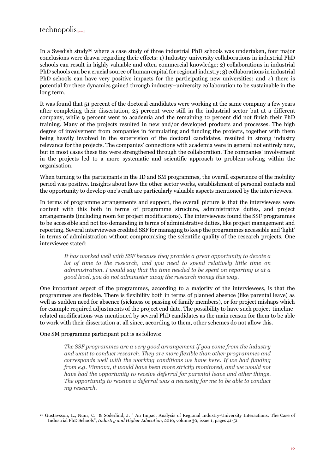In a Swedish study<sup>20</sup> where a case study of three industrial PhD schools was undertaken, four major conclusions were drawn regarding their effects: 1) Industry-university collaborations in industrial PhD schools can result in highly valuable and often commercial knowledge; 2) collaborations in industrial PhD schools can be a crucial source of human capital for regional industry; 3) collaborations in industrial PhD schools can have very positive impacts for the participating new universities; and 4) there is potential for these dynamics gained through industry–university collaboration to be sustainable in the long term.

It was found that 51 percent of the doctoral candidates were working at the same company a few years after completing their dissertation, 25 percent were still in the industrial sector but at a different company, while 9 percent went to academia and the remaining 12 percent did not finish their PhD training. Many of the projects resulted in new and/or developed products and processes. The high degree of involvement from companies in formulating and funding the projects, together with them being heavily involved in the supervision of the doctoral candidates, resulted in strong industry relevance for the projects. The companies' connections with academia were in general not entirely new, but in most cases these ties were strengthened through the collaboration. The companies' involvement in the projects led to a more systematic and scientific approach to problem-solving within the organisation.

When turning to the participants in the ID and SM programmes, the overall experience of the mobility period was positive. Insights about how the other sector works, establishment of personal contacts and the opportunity to develop one's craft are particularly valuable aspects mentioned by the interviewees.

In terms of programme arrangements and support, the overall picture is that the interviewees were content with this both in terms of programme structure, administrative duties, and project arrangements (including room for project modifications). The interviewees found the SSF programmes to be accessible and not too demanding in terms of administrative duties, like project management and reporting. Several interviewees credited SSF for managing to keep the programmes accessible and 'light' in terms of administration without compromising the scientific quality of the research projects. One interviewee stated:

*It has worked well with SSF because they provide a great opportunity to devote a lot of time to the research, and you need to spend relatively little time on administration. I would say that the time needed to be spent on reporting is at a good level, you do not administer away the research money this way.*

One important aspect of the programmes, according to a majority of the interviewees, is that the programmes are flexible. There is flexibility both in terms of planned absence (like parental leave) as well as sudden need for absence (sickness or passing of family members), or for project mishaps which for example required adjustments of the project end date. The possibility to have such project-timelinerelated modifications was mentioned by several PhD candidates as the main reason for them to be able to work with their dissertation at all since, according to them, other schemes do not allow this.

#### One SM programme participant put is as follows:

*The SSF programmes are a very good arrangement if you come from the industry and want to conduct research. They are more flexible than other programmes and corresponds well with the working conditions we have here. If we had funding from e.g. Vinnova, it would have been more strictly monitored, and we would not have had the opportunity to receive deferral for parental leave and other things. The opportunity to receive a deferral was a necessity for me to be able to conduct my research.*

<sup>20</sup> Gustavsson, L., Nuur, C. & Söderlind, J. " An Impact Analysis of Regional Industry-University Interactions: The Case of Industrial PhD Schools", *Industry and Higher Education,* 2016, volume 30, issue 1, pages 41-51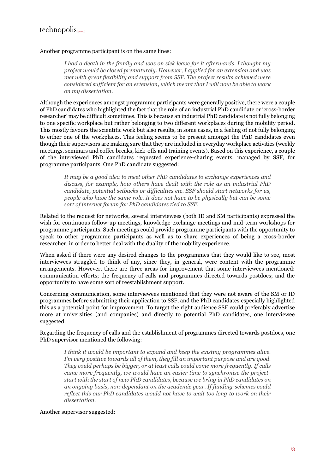## $technopolis_{\text{group}}$

#### Another programme participant is on the same lines:

*I had a death in the family and was on sick leave for it afterwards. I thought my project would be closed prematurely. However, I applied for an extension and was met with great flexibility and support from SSF. The project results achieved were considered sufficient for an extension, which meant that I will now be able to work on my dissertation.*

Although the experiences amongst programme participants were generally positive, there were a couple of PhD candidates who highlighted the fact that the role of an industrial PhD candidate or 'cross-border researcher' may be difficult sometimes. This is because an industrial PhD candidate is not fully belonging to one specific workplace but rather belonging to two different workplaces during the mobility period. This mostly favours the scientific work but also results, in some cases, in a feeling of not fully belonging to either one of the workplaces. This feeling seems to be present amongst the PhD candidates even though their supervisors are making sure that they are included in everyday workplace activities (weekly meetings, seminars and coffee breaks, kick-offs and training events). Based on this experience, a couple of the interviewed PhD candidates requested experience-sharing events, managed by SSF, for programme participants. One PhD candidate suggested:

*It may be a good idea to meet other PhD candidates to exchange experiences and discuss, for example, how others have dealt with the role as an industrial PhD candidate, potential setbacks or difficulties etc. SSF should start networks for us, people who have the same role. It does not have to be physically but can be some sort of internet forum for PhD candidates tied to SSF.*

Related to the request for networks, several interviewees (both ID and SM participants) expressed the wish for continuous follow-up meetings, knowledge-exchange meetings and mid-term workshops for programme participants. Such meetings could provide programme participants with the opportunity to speak to other programme participants as well as to share experiences of being a cross-border researcher, in order to better deal with the duality of the mobility experience.

When asked if there were any desired changes to the programmes that they would like to see, most interviewees struggled to think of any, since they, in general, were content with the programme arrangements. However, there are three areas for improvement that some interviewees mentioned: communication efforts; the frequency of calls and programmes directed towards postdocs; and the opportunity to have some sort of reestablishment support.

Concerning communication, some interviewees mentioned that they were not aware of the SM or ID programmes before submitting their application to SSF, and the PhD candidates especially highlighted this as a potential point for improvement. To target the right audience SSF could preferably advertise more at universities (and companies) and directly to potential PhD candidates, one interviewee suggested.

Regarding the frequency of calls and the establishment of programmes directed towards postdocs, one PhD supervisor mentioned the following:

*I think it would be important to expand and keep the existing programmes alive. I'm very positive towards all of them, they fill an important purpose and are good. They could perhaps be bigger, or at least calls could come more frequently. If calls came more frequently, we would have an easier time to synchronise the projectstart with the start of new PhD candidates, because we bring in PhD candidates on an ongoing basis, non-dependant on the academic year. If funding-schemes could reflect this our PhD candidates would not have to wait too long to work on their dissertation.*

Another supervisor suggested: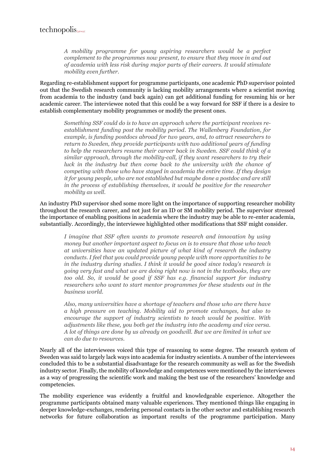*A mobility programme for young aspiring researchers would be a perfect complement to the programmes now present, to ensure that they move in and out of academia with less risk during major parts of their careers. It would stimulate mobility even further.*

Regarding re-establishment support for programme participants, one academic PhD supervisor pointed out that the Swedish research community is lacking mobility arrangements where a scientist moving from academia to the industry (and back again) can get additional funding for resuming his or her academic career. The interviewee noted that this could be a way forward for SSF if there is a desire to establish complementary mobility programmes or modify the present ones.

*Something SSF could do is to have an approach where the participant receives reestablishment funding post the mobility period. The Wallenberg Foundation, for example, is funding postdocs abroad for two years, and, to attract researchers to return to Sweden, they provide participants with two additional years of funding to help the researchers resume their career back in Sweden. SSF could think of a similar approach, through the mobility-call, if they want researchers to try their luck in the industry but then come back to the university with the chance of competing with those who have stayed in academia the entire time. If they design it for young people, who are not established but maybe done a postdoc and are still in the process of establishing themselves, it would be positive for the researcher mobility as well.*

An industry PhD supervisor shed some more light on the importance of supporting researcher mobility throughout the research career, and not just for an ID or SM mobility period. The supervisor stressed the importance of enabling positions in academia where the industry may be able to re-enter academia, substantially. Accordingly, the interviewee highlighted other modifications that SSF might consider.

*I imagine that SSF often wants to promote research and innovation by using money but another important aspect to focus on is to ensure that those who teach at universities have an updated picture of what kind of research the industry conducts. I feel that you could provide young people with more opportunities to be in the industry during studies. I think it would be good since today's research is going very fast and what we are doing right now is not in the textbooks, they are too old. So, it would be good if SSF has e.g. financial support for industry researchers who want to start mentor programmes for these students out in the business world.*

*Also, many universities have a shortage of teachers and those who are there have a high pressure on teaching. Mobility aid to promote exchanges, but also to encourage the support of industry scientists to teach would be positive. With adjustments like these, you both get the industry into the academy and vice versa. A lot of things are done by us already on goodwill. But we are limited in what we can do due to resources.*

Nearly all of the interviewees voiced this type of reasoning to some degree. The research system of Sweden was said to largely lack ways into academia for industry scientists. A number of the interviewees concluded this to be a substantial disadvantage for the research community as well as for the Swedish industry sector. Finally, the mobility of knowledge and competences were mentioned by the interviewees as a way of progressing the scientific work and making the best use of the researchers' knowledge and competencies.

The mobility experience was evidently a fruitful and knowledgeable experience. Altogether the programme participants obtained many valuable experiences. They mentioned things like engaging in deeper knowledge-exchanges, rendering personal contacts in the other sector and establishing research networks for future collaboration as important results of the programme participation. Many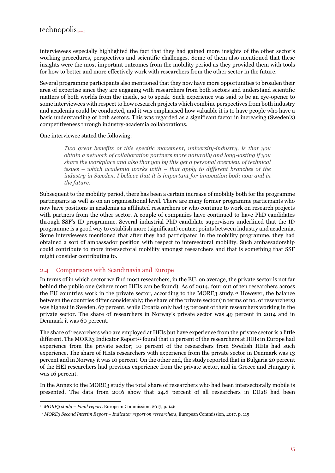interviewees especially highlighted the fact that they had gained more insights of the other sector's working procedures, perspectives and scientific challenges. Some of them also mentioned that these insights were the most important outcomes from the mobility period as they provided them with tools for how to better and more effectively work with researchers from the other sector in the future.

Several programme participants also mentioned that they now have more opportunities to broaden their area of expertise since they are engaging with researchers from both sectors and understand scientific matters of both worlds from the inside, so to speak. Such experience was said to be an eye-opener to some interviewees with respect to how research projects which combine perspectives from both industry and academia could be conducted, and it was emphasised how valuable it is to have people who have a basic understanding of both sectors. This was regarded as a significant factor in increasing (Sweden's) competitiveness through industry-academia collaborations.

One interviewee stated the following:

*Two great benefits of this specific movement, university-industry, is that you obtain a network of collaboration partners more naturally and long-lasting if you share the workplace and also that you by this get a personal overview of technical issues – which academia works with – that apply to different branches of the industry in Sweden. I believe that it is important for innovation both now and in the future.*

Subsequent to the mobility period, there has been a certain increase of mobility both for the programme participants as well as on an organisational level. There are many former programme participants who now have positions in academia as affiliated researchers or who continue to work on research projects with partners from the other sector. A couple of companies have continued to have PhD candidates through SSF's ID programme. Several industrial PhD candidate supervisors underlined that the ID programme is a good way to establish more (significant) contact points between industry and academia. Some interviewees mentioned that after they had participated in the mobility programme, they had obtained a sort of ambassador position with respect to intersectoral mobility. Such ambassadorship could contribute to more intersectoral mobility amongst researchers and that is something that SSF might consider contributing to.

## 2.4 Comparisons with Scandinavia and Europe

In terms of in which sector we find most researchers, in the EU, on average, the private sector is not far behind the public one (where most HEIs can be found). As of 2014, four out of ten researchers across the EU countries work in the private sector, according to the MORE3 study.<sup>21</sup> However, the balance between the countries differ considerably; the share of the private sector (in terms of no. of researchers) was highest in Sweden, 67 percent, while Croatia only had 15 percent of their researchers working in the private sector. The share of researchers in Norway's private sector was 49 percent in 2014 and in Denmark it was 60 percent.

The share of researchers who are employed at HEIs but have experience from the private sector is a little different. The MORE3 Indicator Report<sup>22</sup> found that 11 percent of the researchers at HEIs in Europe had experience from the private sector; 10 percent of the researchers from Swedish HEIs had such experience. The share of HEIs researchers with experience from the private sector in Denmark was 13 percent and in Norway it was 10 percent. On the other end, the study reported that in Bulgaria 20 percent of the HEI researchers had previous experience from the private sector, and in Greece and Hungary it was 16 percent.

In the Annex to the MORE3 study the total share of researchers who had been intersectorally mobile is presented. The data from 2016 show that 24.8 percent of all researchers in EU28 had been

<sup>21</sup> *MORE3 study – Final report,* European Commission, 2017, p. 146

<sup>22</sup> *MORE3 Second Interim Report – Indicator report on researchers*, European Commission, 2017, p. 115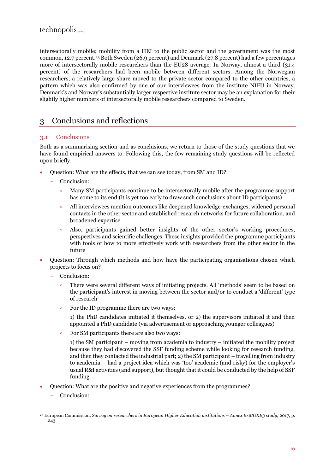intersectorally mobile; mobility from a HEI to the public sector and the government was the most common, 12.7 percent. <sup>23</sup> Both Sweden (26.9 percent) and Denmark (27.8 percent) had a few percentages more of intersectorally mobile researchers than the EU28 average. In Norway, almost a third (31.4 percent) of the researchers had been mobile between different sectors. Among the Norwegian researchers, a relatively large share moved to the private sector compared to the other countries, a pattern which was also confirmed by one of our interviewees from the institute NIFU in Norway. Denmark's and Norway's substantially larger respective institute sector may be an explanation for their slightly higher numbers of intersectorally mobile researchers compared to Sweden.

## <span id="page-17-0"></span>3 Conclusions and reflections

## 3.1 Conclusions

Both as a summarising section and as conclusions, we return to those of the study questions that we have found empirical answers to. Following this, the few remaining study questions will be reflected upon briefly.

- Question: What are the effects, that we can see today, from SM and ID?
	- Conclusion:
		- Many SM participants continue to be intersectorally mobile after the programme support  $\circ$ has come to its end (it is yet too early to draw such conclusions about ID participants)
		- $\ddot{\mathbf{o}}$ All interviewees mention outcomes like deepened knowledge-exchanges, widened personal contacts in the other sector and established research networks for future collaboration, and broadened expertise
		- $\circ$ Also, participants gained better insights of the other sector's working procedures, perspectives and scientific challenges. These insights provided the programme participants with tools of how to more effectively work with researchers from the other sector in the future
- Question: Through which methods and how have the participating organisations chosen which projects to focus on?
	- Conclusion:
		- There were several different ways of initiating projects. All 'methods' seem to be based on the participant's interest in moving between the sector and/or to conduct a 'different' type of research
		- For the ID programme there are two ways:  $\circ$

1) the PhD candidates initiated it themselves, or 2) the supervisors initiated it and then appointed a PhD candidate (via advertisement or approaching younger colleagues)

 $\circ$ For SM participants there are also two ways:

1) the SM participant – moving from academia to industry – initiated the mobility project because they had discovered the SSF funding scheme while looking for research funding, and then they contacted the industrial part; 2) the SM participant – travelling from industry to academia – had a project idea which was 'too' academic (and risky) for the employer's usual R&I activities (and support), but thought that it could be conducted by the help of SSF funding

- Question: What are the positive and negative experiences from the programmes?
	- Conclusion:

<sup>&</sup>lt;sup>23</sup> European Commission, *Survey on researchers in European Higher Education institutions – Annex to MORE3 study, 2017, p.* 243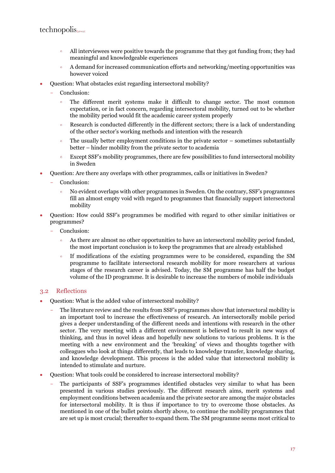- All interviewees were positive towards the programme that they got funding from; they had  $\circ$ meaningful and knowledgeable experiences
- A demand for increased communication efforts and networking/meeting opportunities was  $\circ$ however voiced
- Question: What obstacles exist regarding intersectoral mobility?
	- Conclusion:
		- The different merit systems make it difficult to change sector. The most common  $\circ$ expectation, or in fact concern, regarding intersectoral mobility, turned out to be whether the mobility period would fit the academic career system properly
		- Research is conducted differently in the different sectors; there is a lack of understanding  $\circ$ of the other sector's working methods and intention with the research
		- $\circ$ The usually better employment conditions in the private sector – sometimes substantially better – hinder mobility from the private sector to academia
		- Except SSF's mobility programmes, there are few possibilities to fund intersectoral mobility  $\ddot{\circ}$ in Sweden
- Question: Are there any overlaps with other programmes, calls or initiatives in Sweden?
	- Conclusion:
		- $\ddot{\circ}$ No evident overlaps with other programmes in Sweden. On the contrary, SSF's programmes fill an almost empty void with regard to programmes that financially support intersectoral mobility
- Question: How could SSF's programmes be modified with regard to other similar initiatives or programmes?
	- Conclusion:
		- $\circ$ As there are almost no other opportunities to have an intersectoral mobility period funded, the most important conclusion is to keep the programmes that are already established
		- $\ddot{\circ}$ If modifications of the existing programmes were to be considered, expanding the SM programme to facilitate intersectoral research mobility for more researchers at various stages of the research career is advised. Today, the SM programme has half the budget volume of the ID programme. It is desirable to increase the numbers of mobile individuals

## 3.2 Reflections

- Question: What is the added value of intersectoral mobility?
	- The literature review and the results from SSF's programmes show that intersectoral mobility is an important tool to increase the effectiveness of research. An intersectorally mobile period gives a deeper understanding of the different needs and intentions with research in the other sector. The very meeting with a different environment is believed to result in new ways of thinking, and thus in novel ideas and hopefully new solutions to various problems. It is the meeting with a new environment and the 'breaking' of views and thoughts together with colleagues who look at things differently, that leads to knowledge transfer, knowledge sharing, and knowledge development. This process is the added value that intersectoral mobility is intended to stimulate and nurture.
- Question: What tools could be considered to increase intersectoral mobility?
	- The participants of SSF's programmes identified obstacles very similar to what has been presented in various studies previously. The different research aims, merit systems and employment conditions between academia and the private sector are among the major obstacles for intersectoral mobility. It is thus if importance to try to overcome those obstacles. As mentioned in one of the bullet points shortly above, to continue the mobility programmes that are set up is most crucial; thereafter to expand them. The SM programme seems most critical to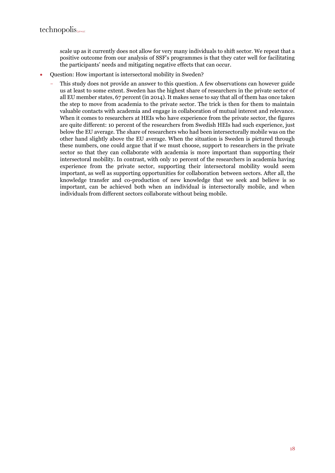scale up as it currently does not allow for very many individuals to shift sector. We repeat that a positive outcome from our analysis of SSF's programmes is that they cater well for facilitating the participants' needs and mitigating negative effects that can occur.

- Ouestion: How important is intersectoral mobility in Sweden?
	- This study does not provide an answer to this question. A few observations can however guide us at least to some extent. Sweden has the highest share of researchers in the private sector of all EU member states, 67 percent (in 2014). It makes sense to say that all of them has once taken the step to move from academia to the private sector. The trick is then for them to maintain valuable contacts with academia and engage in collaboration of mutual interest and relevance. When it comes to researchers at HEIs who have experience from the private sector, the figures are quite different: 10 percent of the researchers from Swedish HEIs had such experience, just below the EU average. The share of researchers who had been intersectorally mobile was on the other hand slightly above the EU average. When the situation is Sweden is pictured through these numbers, one could argue that if we must choose, support to researchers in the private sector so that they can collaborate with academia is more important than supporting their intersectoral mobility. In contrast, with only 10 percent of the researchers in academia having experience from the private sector, supporting their intersectoral mobility would seem important, as well as supporting opportunities for collaboration between sectors. After all, the knowledge transfer and co-production of new knowledge that we seek and believe is so important, can be achieved both when an individual is intersectorally mobile, and when individuals from different sectors collaborate without being mobile.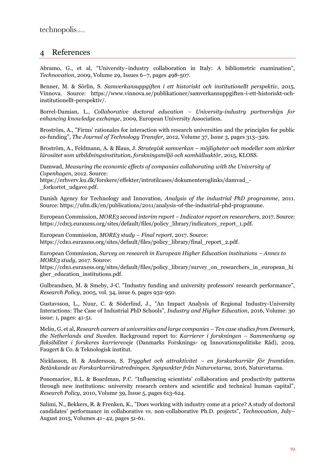## 4 References

Abramo, G., et al, "University–industry collaboration in Italy: A bibliometric examination", *Technovation*, 2009, Volume 29, Issues 6–7, pages 498-507.

Benner, M. & Sörlin, S. *Samverkansuppgiften i ett historiskt och institutionellt perspektiv*, 2015, Vinnova. Source: https://www.vinnova.se/publikationer/samverkansuppgiften-i-ett-historiskt-ochinstitutionellt-perspektiv/.

Borrel-Damian, L., *Collaborative doctoral education – University-industry partnerships for enhancing knowledge exchange*, 2009, European University Association.

Broström, A., "Firms' rationales for interaction with research universities and the principles for public co-funding", *The Journal of Technology Transfer*, 2012, Volume 37, Issue 3, pages 313–329.

Broström, A., Feldmann, A. & Blaus, J. *Strategisk samverkan – möjligheter och modeller som stärker lärosätet som utbildningsinstitution, forskningsmiljö och samhällsaktör*, 2015, KLOSS.

Damwad, *Measuring the economic effects of companies collaborating with the University of Copenhagen*, 2012. Source:

https://erhverv.ku.dk/forskere/effekter/introtilcases/dokumenteroglinks/damvad\_- \_forkortet\_udgave.pdf.

Danish Agency for Technology and Innovation, *Analysis of the industrial PhD programme*, 2011. Source: https://ufm.dk/en/publications/2011/analysis-of-the-industrial-phd-programme.

European Commission, *MORE3 second interim report – Indicator report on researchers*, 2017. Source: https://cdn3.euraxess.org/sites/default/files/policy\_library/indicators\_report\_1.pdf.

European Commission, *MORE3 study – Final report*, 2017. Source: https://cdn1.euraxess.org/sites/default/files/policy\_library/final\_report\_2.pdf.

European Commission, *Survey on research in European Higher Education institutions – Annex to MORE3 study*, 2017. Source:

https://cdn1.euraxess.org/sites/default/files/policy\_library/survey\_on\_researchers\_in\_european\_hi gher\_education\_institutions.pdf.

Gulbrandsen, M. & Smeby, J-C. "Industry funding and university professors' research performance", *Research Policy*, 2005, vol. 34, issue 6, pages 932-950.

Gustavsson, L., Nuur, C. & Söderlind, J., "An Impact Analysis of Regional Industry-University Interactions: The Case of Industrial PhD Schools", *Industry and Higher Education*, 2016, Volume: 30 issue: 1, pages: 41-51.

Melin, G. et al, *Research careers at universities and large companies – Ten case studies from Denmark, the Netherlands and Sweden*. Background report to: *Karrierer i forskningen – Sammenhæng og fleksibilitet i forskeres karriereveje* (Danmarks Forsknings- og Innovationspolitiske Råd), 2019, Faugert & Co. & Teknologisk institut.

Nicklasson, H. & Andersson, S. *Trygghet och attraktivitet – en forskarkarriär för framtiden. Betänkande av Forskarkarriärutredningen. Synpunkter från Naturvetarna,* 2016, Naturvetarna.

Ponomariov, B.L. & Boardman, P.C. "Influencing scientists' collaboration and productivity patterns through new institutions: university research centers and scientific and technical human capital", *Research Policy*, 2010, Volume 39, Issue 5, pages 613-624.

Salimi, N., Bekkers, R. & Frenken, K., "Does working with industry come at a price? A study of doctoral candidates' performance in collaborative vs. non-collaborative Ph.D. projects", *Technovation*, July– August 2015, Volumes 41–42, pages 51-61.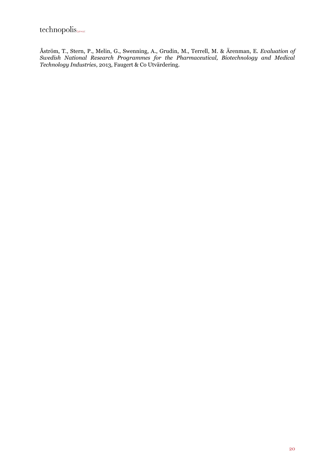Åström, T., Stern, P., Melin, G., Swenning, A., Grudin, M., Terrell, M. & Ärenman, E. *Evaluation of Swedish National Research Programmes for the Pharmaceutical, Biotechnology and Medical Technology Industries*, 2013, Faugert & Co Utvärdering.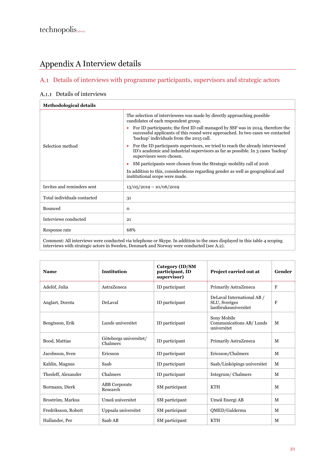## Appendix A Interview details

## Details of interviews with programme participants, supervisors and strategic actors

## A.1.1 Details of interviews

| <b>Methodological details</b> |                                                                                                                                                                                                                |  |  |
|-------------------------------|----------------------------------------------------------------------------------------------------------------------------------------------------------------------------------------------------------------|--|--|
|                               | The selection of interviewees was made by directly approaching possible<br>candidates of each respondent group.                                                                                                |  |  |
|                               | For ID participants; the first ID call managed by SSF was in 2014, therefore the<br>successful applicants of this round were approached. In two cases we contacted<br>'backup' individuals from the 2015 call. |  |  |
| Selection method              | For the ID participants supervisors, we tried to reach the already interviewed<br>ID's academic and industrial supervisors as far as possible. In 3 cases 'backup'<br>supervisors were chosen.                 |  |  |
|                               | SM participants were chosen from the Strategic mobility call of 2016                                                                                                                                           |  |  |
|                               | In addition to this, considerations regarding gender as well as geographical and<br>institutional scope were made.                                                                                             |  |  |
| Invites and reminders sent    | $13/05/2019 - 10/06/2019$                                                                                                                                                                                      |  |  |
| Total individuals contacted   | 31                                                                                                                                                                                                             |  |  |
| Bounced                       | $\Omega$                                                                                                                                                                                                       |  |  |
| Interviews conducted          | 21                                                                                                                                                                                                             |  |  |
| Response rate                 | 68%                                                                                                                                                                                                            |  |  |
|                               | Comment: All interviews were conducted via telephone or Slyne. In addition to the ones displayed in this table 4 scoping                                                                                       |  |  |

Comment: All interviews were conducted via telephone or Skype. In addition to the ones displayed in this table 4 scoping interviews with strategic actors in Sweden, Denmark and Norway were conducted (se[e A.2\)](#page-24-0).

| <b>Name</b>         | <b>Institution</b>                 | Category (ID/SM<br>participant, ID<br>supervisor) | Project carried out at                                              | Gender |
|---------------------|------------------------------------|---------------------------------------------------|---------------------------------------------------------------------|--------|
| Adelöf, Julia       | AstraZeneca                        | ID participant                                    | Primarily AstraZeneca                                               | F      |
| Anglart, Dorota     | <b>DeLaval</b>                     | ID participant                                    | DeLaval International AB /<br>SLU, Sveriges<br>lantbruksuniversitet | F      |
| Bengtsson, Erik     | Lunds universitet                  | ID participant                                    | Sony Mobile<br>Communications AB/Lunds<br>universitet               | M      |
| Bood, Mattias       | Göteborgs universitet/<br>Chalmers | ID participant                                    | Primarily AstraZeneca                                               | M      |
| Jacobsson, Sven     | Ericsson                           | ID participant                                    | Ericsson/Chalmers                                                   | M      |
| Kahlin, Magnus      | Saab                               | ID participant                                    | Saab/Linköpings universitet                                         | M      |
| Thesleff, Alexander | Chalmers                           | ID participant                                    | Integrum/Chalmers                                                   | M      |
| Bormann, Dierk      | <b>ABB</b> Corporate<br>Research   | SM participant                                    | <b>KTH</b>                                                          | M      |
| Broström, Markus    | Umeå universitet                   | SM participant                                    | Umeå Energi AB                                                      | M      |
| Fredriksson, Robert | Uppsala universitet                | SM participant                                    | QMED/Galderma                                                       | M      |
| Hallander, Per      | Saab AB                            | SM participant                                    | <b>KTH</b>                                                          | M      |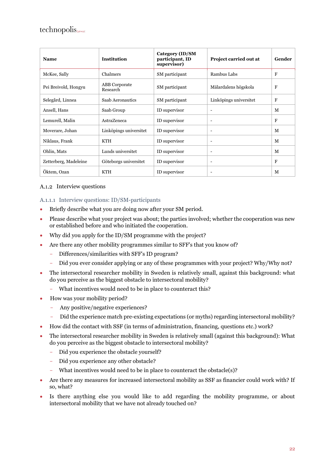| <b>Name</b>           | <b>Institution</b>               | Category (ID/SM<br>participant, ID<br>supervisor) | Project carried out at   | Gender      |
|-----------------------|----------------------------------|---------------------------------------------------|--------------------------|-------------|
| McKee, Sally          | Chalmers                         | SM participant                                    | Rambus Labs              | $\mathbf F$ |
| Pei Breivold, Hongyu  | <b>ABB</b> Corporate<br>Research | SM participant                                    | Mälardalens högskola     | $\mathbf F$ |
| Selegård, Linnea      | Saab Aeronautics                 | SM participant                                    | Linköpings universitet   | $\mathbf F$ |
| Ansell, Hans          | Saab Group                       | ID supervisor                                     |                          | M           |
| Lemurell, Malin       | <b>AstraZeneca</b>               | ID supervisor                                     |                          | $\mathbf F$ |
| Moverare, Johan       | Linköpings universitet           | ID supervisor                                     |                          | M           |
| Niklaus, Frank        | KTH                              | ID supervisor                                     | $\overline{\phantom{a}}$ | M           |
| Ohlin, Mats           | Lunds universitet                | ID supervisor                                     | $\overline{\phantom{a}}$ | M           |
| Zetterberg, Madeleine | Göteborgs universitet            | ID supervisor                                     | $\overline{\phantom{a}}$ | F           |
| Öktem, Ozan           | <b>KTH</b>                       | ID supervisor                                     | $\overline{\phantom{a}}$ | M           |

#### A.1.2 Interview questions

#### A.1.1.1 Interview questions: ID/SM-participants

- Briefly describe what you are doing now after your SM period.
- Please describe what your project was about; the parties involved; whether the cooperation was new or established before and who initiated the cooperation.
- Why did you apply for the ID/SM programme with the project?
- Are there any other mobility programmes similar to SFF's that you know of?
	- Differences/similarities with SFF's ID program?
	- Did you ever consider applying or any of these programmes with your project? Why/Why not?
- The intersectoral researcher mobility in Sweden is relatively small, against this background: what do you perceive as the biggest obstacle to intersectoral mobility?
	- What incentives would need to be in place to counteract this?
- How was your mobility period?
	- Any positive/negative experiences?
	- Did the experience match pre-existing expectations (or myths) regarding intersectoral mobility?
- How did the contact with SSF (in terms of administration, financing, questions etc.) work?
- The intersectoral researcher mobility in Sweden is relatively small (against this background): What do you perceive as the biggest obstacle to intersectoral mobility?
	- Did you experience the obstacle yourself?
	- Did you experience any other obstacle?
	- What incentives would need to be in place to counteract the obstacle(s)?
- Are there any measures for increased intersectoral mobility as SSF as financier could work with? If so, what?
- Is there anything else you would like to add regarding the mobility programme, or about intersectoral mobility that we have not already touched on?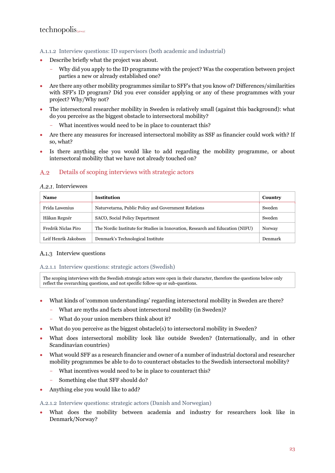#### A.1.1.2 Interview questions: ID supervisors (both academic and industrial)

- Describe briefly what the project was about.
	- Why did you apply to the ID programme with the project? Was the cooperation between project parties a new or already established one?
- Are there any other mobility programmes similar to SFF's that you know of? Differences/similarities with SFF's ID program? Did you ever consider applying or any of these programmes with your project? Why/Why not?
- The intersectoral researcher mobility in Sweden is relatively small (against this background): what do you perceive as the biggest obstacle to intersectoral mobility?
	- What incentives would need to be in place to counteract this?
- Are there any measures for increased intersectoral mobility as SSF as financier could work with? If so, what?
- Is there anything else you would like to add regarding the mobility programme, or about intersectoral mobility that we have not already touched on?

#### <span id="page-24-0"></span> $A.2$ Details of scoping interviews with strategic actors

#### A.2.1. Interviewees

| <b>Name</b>          | <b>Institution</b>                                                            | Country |
|----------------------|-------------------------------------------------------------------------------|---------|
| Frida Lawenius       | Naturvetarna, Public Policy and Government Relations                          | Sweden  |
| Håkan Regnér         | SACO, Social Policy Department                                                | Sweden  |
| Fredrik Niclas Piro  | The Nordic Institute for Studies in Innovation, Research and Education (NIFU) | Norway  |
| Leif Henrik Jakobsen | Denmark's Technological Institute                                             | Denmark |

#### A.1.3 Interview questions

#### A.2.1.1 Interview questions: strategic actors (Swedish)

The scoping interviews with the Swedish strategic actors were open in their character, therefore the questions below only reflect the overarching questions, and not specific follow-up or sub-questions.

- What kinds of 'common understandings' regarding intersectoral mobility in Sweden are there?
	- What are myths and facts about intersectoral mobility (in Sweden)?
	- What do your union members think about it?
- What do you perceive as the biggest obstacle(s) to intersectoral mobility in Sweden?
- What does intersectoral mobility look like outside Sweden? (Internationally, and in other Scandinavian countries)
- What would SFF as a research financier and owner of a number of industrial doctoral and researcher mobility programmes be able to do to counteract obstacles to the Swedish intersectoral mobility?
	- What incentives would need to be in place to counteract this?
	- Something else that SFF should do?
- Anything else you would like to add?

A.2.1.2 Interview questions: strategic actors (Danish and Norwegian)

• What does the mobility between academia and industry for researchers look like in Denmark/Norway?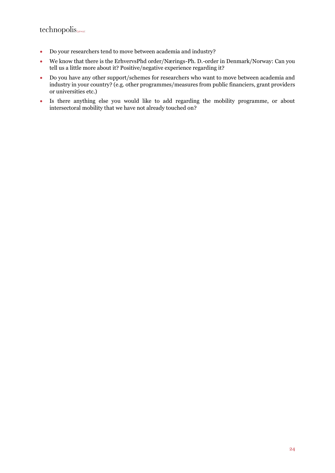- Do your researchers tend to move between academia and industry?
- We know that there is the ErhvervsPhd order/Nærings-Ph. D.-order in Denmark/Norway: Can you tell us a little more about it? Positive/negative experience regarding it?
- Do you have any other support/schemes for researchers who want to move between academia and industry in your country? (e.g. other programmes/measures from public financiers, grant providers or universities etc.)
- Is there anything else you would like to add regarding the mobility programme, or about intersectoral mobility that we have not already touched on?